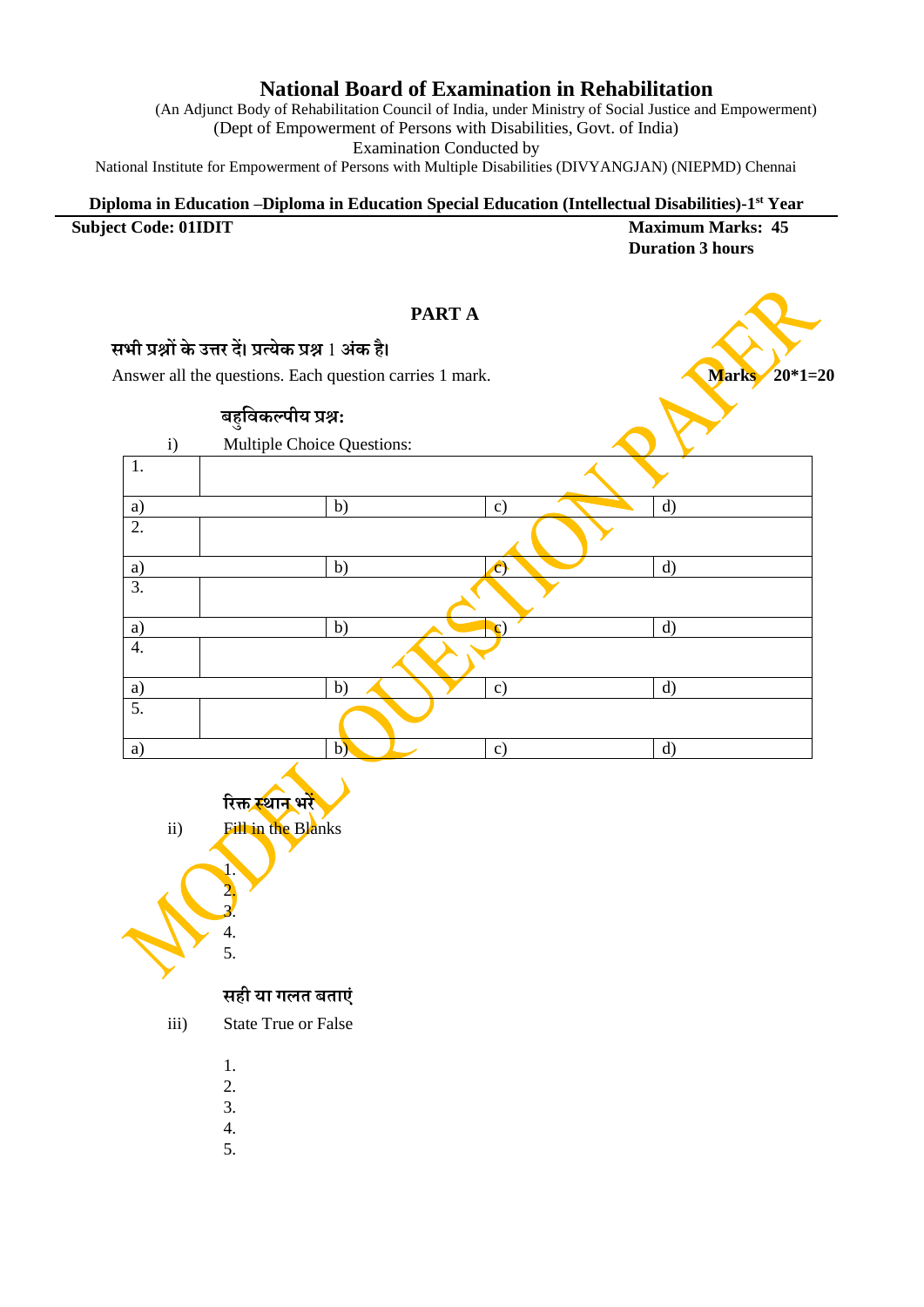## **National Board of Examination in Rehabilitation**

(An Adjunct Body of Rehabilitation Council of India, under Ministry of Social Justice and Empowerment) (Dept of Empowerment of Persons with Disabilities, Govt. of India) Examination Conducted by

National Institute for Empowerment of Persons with Multiple Disabilities (DIVYANGJAN) (NIEPMD) Chennai

## **Diploma in Education –Diploma in Education Special Education (Intellectual Disabilities)-1 st Year Subject Code: 01IDIT Maximum Marks: 45 Duration 3 hours**